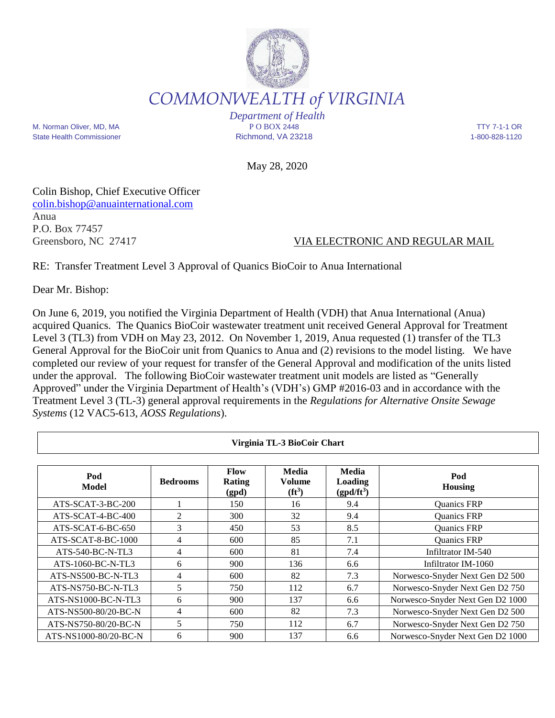

*COMMONWEALTH of VIRGINIA*

M. Norman Oliver, MD, MA P O BOX 2448 TTY 7-1-1 OR State Health Commissioner **Richmond, VA 23218** 1-800-828-1120

*Department of Health*

May 28, 2020

Colin Bishop, Chief Executive Officer [colin.bishop@anuainternational.com](mailto:colin.bishop@anuainternational.com) Anua P.O. Box 77457

## Greensboro, NC 27417 VIA ELECTRONIC AND REGULAR MAIL

RE: Transfer Treatment Level 3 Approval of Quanics BioCoir to Anua International

Dear Mr. Bishop:

Г

On June 6, 2019, you notified the Virginia Department of Health (VDH) that Anua International (Anua) acquired Quanics. The Quanics BioCoir wastewater treatment unit received General Approval for Treatment Level 3 (TL3) from VDH on May 23, 2012. On November 1, 2019, Anua requested (1) transfer of the TL3 General Approval for the BioCoir unit from Quanics to Anua and (2) revisions to the model listing. We have completed our review of your request for transfer of the General Approval and modification of the units listed under the approval. The following BioCoir wastewater treatment unit models are listed as "Generally Approved" under the Virginia Department of Health's (VDH's) GMP #2016-03 and in accordance with the Treatment Level 3 (TL-3) general approval requirements in the *Regulations for Alternative Onsite Sewage Systems* (12 VAC5-613, *AOSS Regulations*).

| Virginia TL-3 BioCoir Chart |                 |                                |                                     |                                                |                                  |
|-----------------------------|-----------------|--------------------------------|-------------------------------------|------------------------------------------------|----------------------------------|
| Pod<br>Model                | <b>Bedrooms</b> | Flow<br><b>Rating</b><br>(gpd) | <b>Media</b><br>Volume<br>$(f t^3)$ | <b>Media</b><br><b>Loading</b><br>$(gpd/ft^3)$ | Pod<br><b>Housing</b>            |
| ATS-SCAT-3-BC-200           |                 | 150                            | 16                                  | 9.4                                            | Quanics FRP                      |
| $ATS-SCAT-4-BC-400$         | 2               | 300                            | 32                                  | 9.4                                            | Quanics FRP                      |
| $ATS-SCAT-6-BC-650$         | 3               | 450                            | 53                                  | 8.5                                            | Quanics FRP                      |
| ATS-SCAT-8-BC-1000          | $\overline{4}$  | 600                            | 85                                  | 7.1                                            | Quanics FRP                      |
| ATS-540-BC-N-TL3            | 4               | 600                            | 81                                  | 7.4                                            | Infiltrator IM-540               |
| ATS-1060-BC-N-TL3           | 6               | 900                            | 136                                 | 6.6                                            | Infiltrator IM-1060              |
| ATS-NS500-BC-N-TL3          | 4               | 600                            | 82                                  | 7.3                                            | Norwesco-Snyder Next Gen D2 500  |
| ATS-NS750-BC-N-TL3          | 5               | 750                            | 112                                 | 6.7                                            | Norwesco-Snyder Next Gen D2 750  |
| ATS-NS1000-BC-N-TL3         | 6               | 900                            | 137                                 | 6.6                                            | Norwesco-Snyder Next Gen D2 1000 |
| ATS-NS500-80/20-BC-N        | 4               | 600                            | 82                                  | 7.3                                            | Norwesco-Snyder Next Gen D2 500  |
| ATS-NS750-80/20-BC-N        | 5               | 750                            | 112                                 | 6.7                                            | Norwesco-Snyder Next Gen D2 750  |
| ATS-NS1000-80/20-BC-N       | 6               | 900                            | 137                                 | 6.6                                            | Norwesco-Snyder Next Gen D2 1000 |